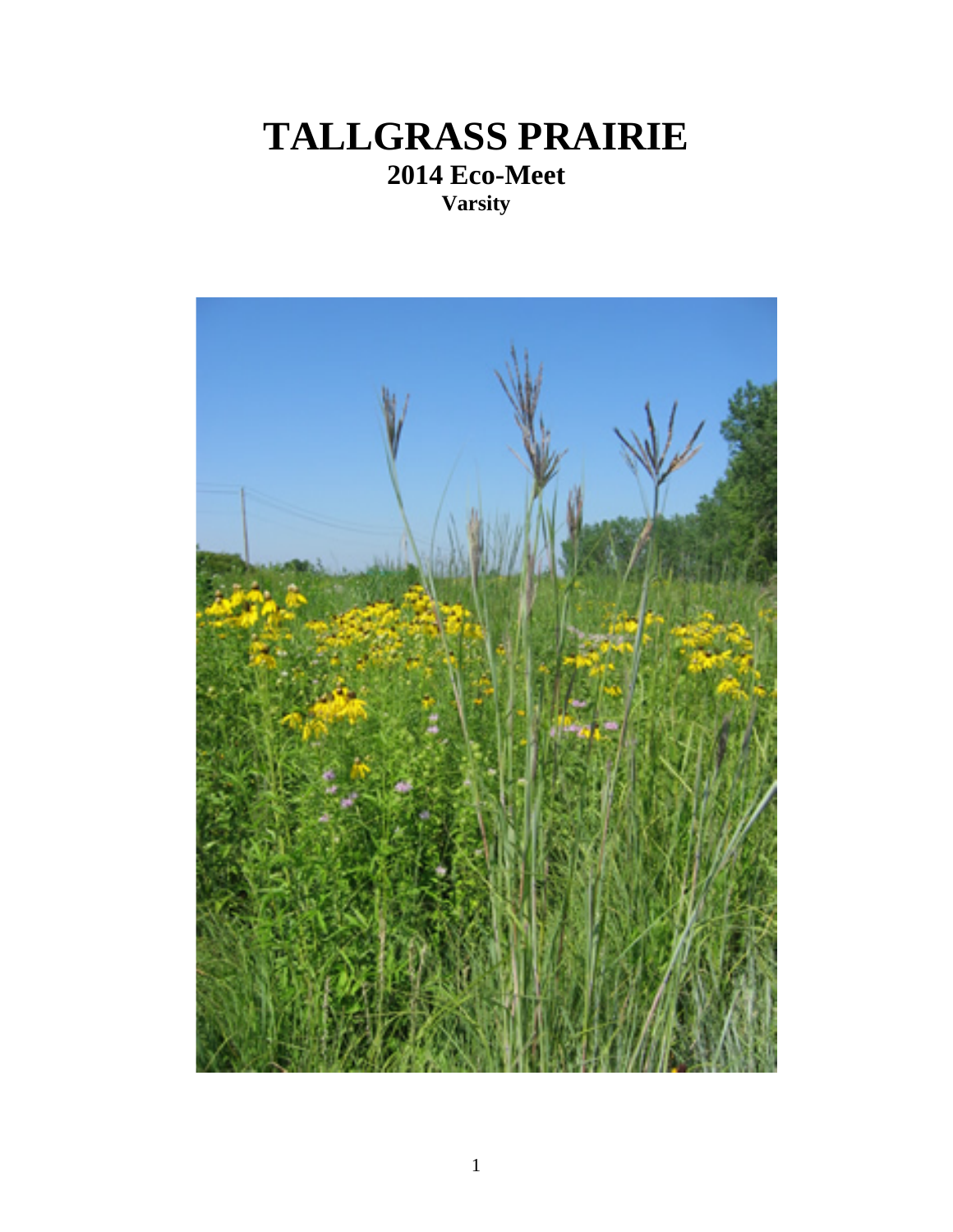# **TALLGRASS PRAIRIE 2014 Eco-Meet Varsity**

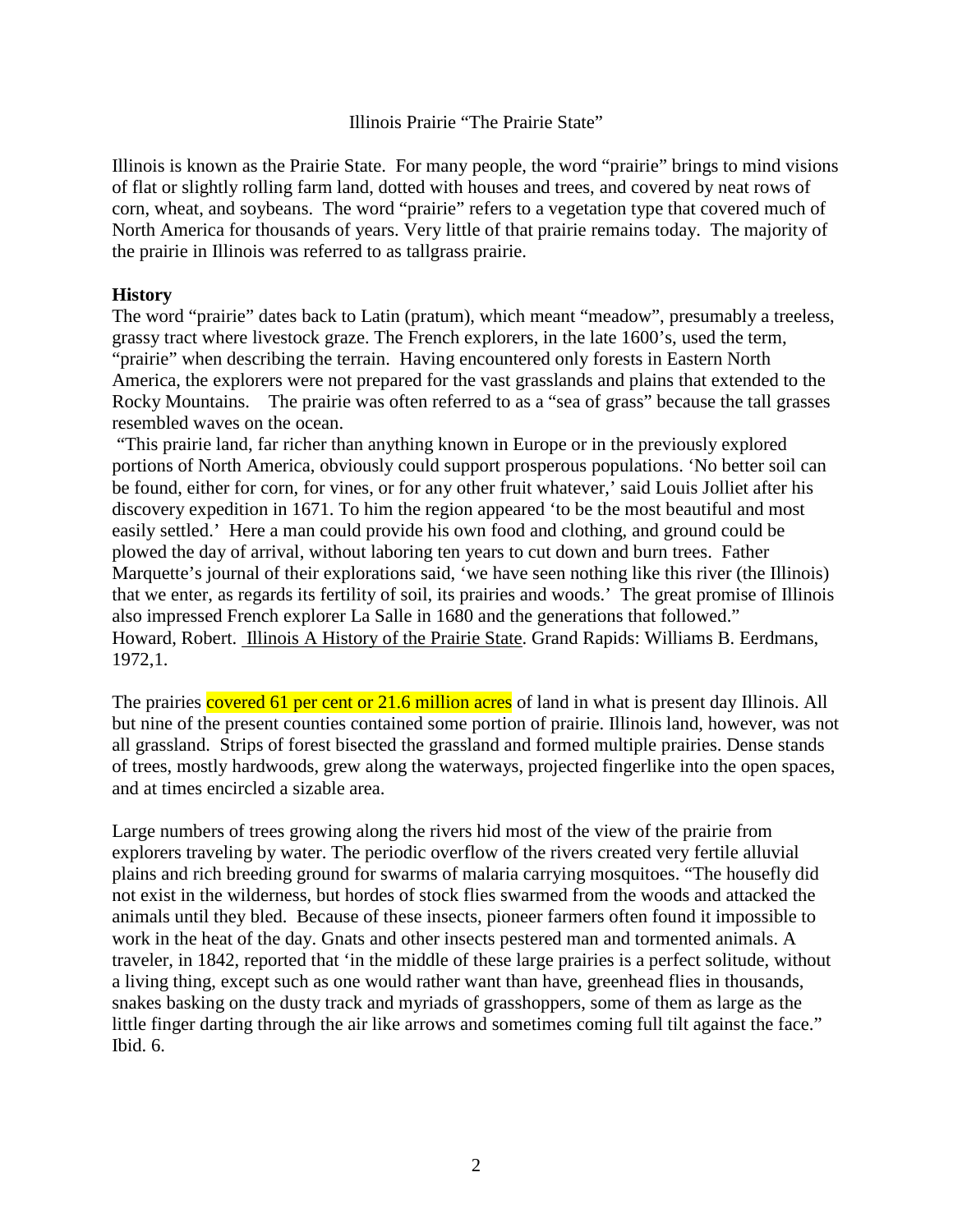### Illinois Prairie "The Prairie State"

Illinois is known as the Prairie State. For many people, the word "prairie" brings to mind visions of flat or slightly rolling farm land, dotted with houses and trees, and covered by neat rows of corn, wheat, and soybeans. The word "prairie" refers to a vegetation type that covered much of North America for thousands of years. Very little of that prairie remains today. The majority of the prairie in Illinois was referred to as tallgrass prairie.

### **History**

The word "prairie" dates back to Latin (pratum), which meant "meadow", presumably a treeless, grassy tract where livestock graze. The French explorers, in the late 1600's, used the term, "prairie" when describing the terrain. Having encountered only forests in Eastern North America, the explorers were not prepared for the vast grasslands and plains that extended to the Rocky Mountains. The prairie was often referred to as a "sea of grass" because the tall grasses resembled waves on the ocean.

"This prairie land, far richer than anything known in Europe or in the previously explored portions of North America, obviously could support prosperous populations. 'No better soil can be found, either for corn, for vines, or for any other fruit whatever,' said Louis Jolliet after his discovery expedition in 1671. To him the region appeared 'to be the most beautiful and most easily settled.' Here a man could provide his own food and clothing, and ground could be plowed the day of arrival, without laboring ten years to cut down and burn trees. Father Marquette's journal of their explorations said, 'we have seen nothing like this river (the Illinois) that we enter, as regards its fertility of soil, its prairies and woods.' The great promise of Illinois also impressed French explorer La Salle in 1680 and the generations that followed." Howard, Robert. Illinois A History of the Prairie State. Grand Rapids: Williams B. Eerdmans, 1972,1.

The prairies covered 61 per cent or 21.6 million acres of land in what is present day Illinois. All but nine of the present counties contained some portion of prairie. Illinois land, however, was not all grassland. Strips of forest bisected the grassland and formed multiple prairies. Dense stands of trees, mostly hardwoods, grew along the waterways, projected fingerlike into the open spaces, and at times encircled a sizable area.

Large numbers of trees growing along the rivers hid most of the view of the prairie from explorers traveling by water. The periodic overflow of the rivers created very fertile alluvial plains and rich breeding ground for swarms of malaria carrying mosquitoes. "The housefly did not exist in the wilderness, but hordes of stock flies swarmed from the woods and attacked the animals until they bled. Because of these insects, pioneer farmers often found it impossible to work in the heat of the day. Gnats and other insects pestered man and tormented animals. A traveler, in 1842, reported that 'in the middle of these large prairies is a perfect solitude, without a living thing, except such as one would rather want than have, greenhead flies in thousands, snakes basking on the dusty track and myriads of grasshoppers, some of them as large as the little finger darting through the air like arrows and sometimes coming full tilt against the face." Ibid. 6.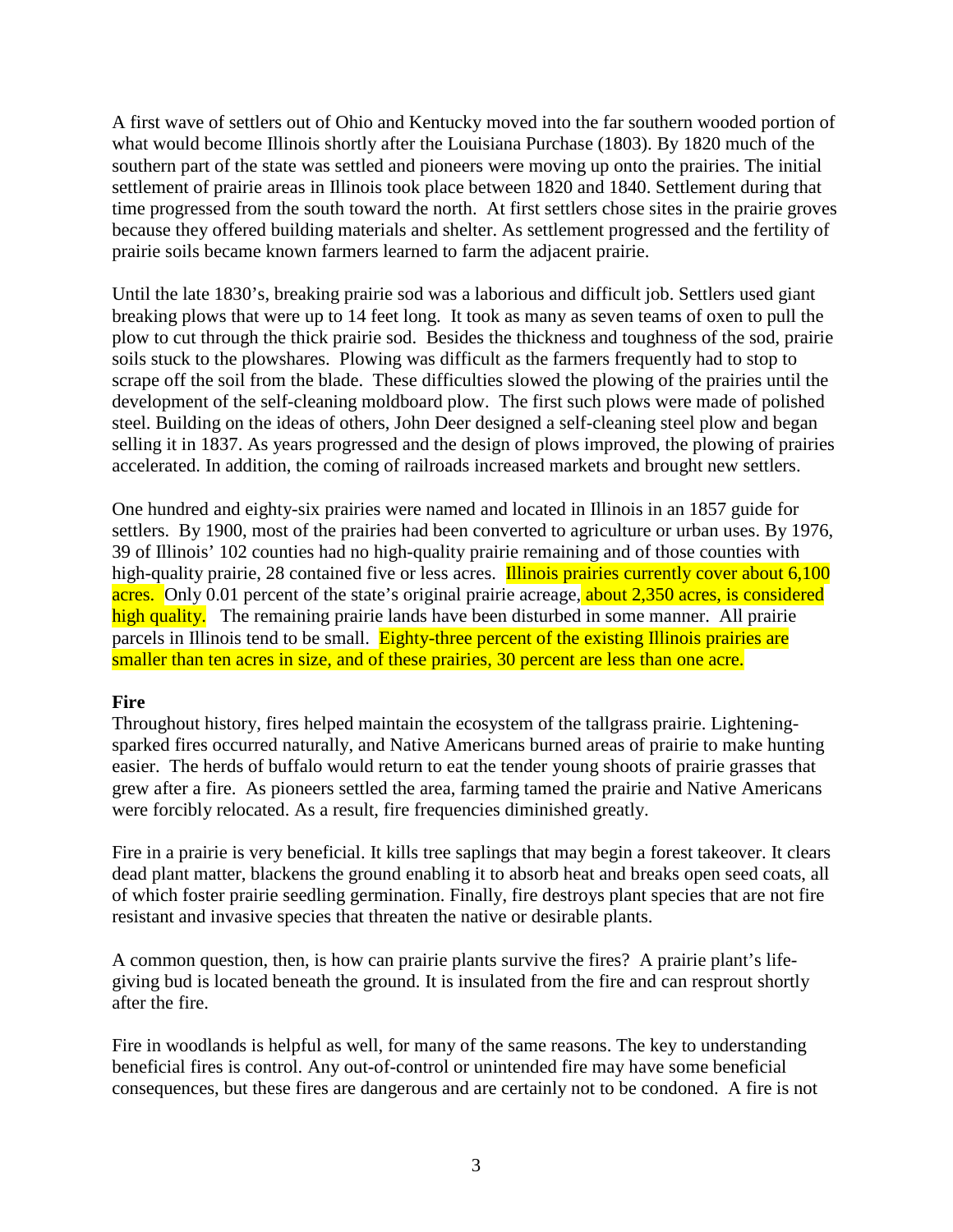A first wave of settlers out of Ohio and Kentucky moved into the far southern wooded portion of what would become Illinois shortly after the Louisiana Purchase (1803). By 1820 much of the southern part of the state was settled and pioneers were moving up onto the prairies. The initial settlement of prairie areas in Illinois took place between 1820 and 1840. Settlement during that time progressed from the south toward the north. At first settlers chose sites in the prairie groves because they offered building materials and shelter. As settlement progressed and the fertility of prairie soils became known farmers learned to farm the adjacent prairie.

Until the late 1830's, breaking prairie sod was a laborious and difficult job. Settlers used giant breaking plows that were up to 14 feet long. It took as many as seven teams of oxen to pull the plow to cut through the thick prairie sod. Besides the thickness and toughness of the sod, prairie soils stuck to the plowshares. Plowing was difficult as the farmers frequently had to stop to scrape off the soil from the blade. These difficulties slowed the plowing of the prairies until the development of the self-cleaning moldboard plow. The first such plows were made of polished steel. Building on the ideas of others, John Deer designed a self-cleaning steel plow and began selling it in 1837. As years progressed and the design of plows improved, the plowing of prairies accelerated. In addition, the coming of railroads increased markets and brought new settlers.

One hundred and eighty-six prairies were named and located in Illinois in an 1857 guide for settlers. By 1900, most of the prairies had been converted to agriculture or urban uses. By 1976, 39 of Illinois' 102 counties had no high-quality prairie remaining and of those counties with high-quality prairie, 28 contained five or less acres. **Illinois prairies currently cover about 6,100** acres. Only 0.01 percent of the state's original prairie acreage, about 2,350 acres, is considered high quality. The remaining prairie lands have been disturbed in some manner. All prairie parcels in Illinois tend to be small. Eighty-three percent of the existing Illinois prairies are smaller than ten acres in size, and of these prairies, 30 percent are less than one acre.

### **Fire**

Throughout history, fires helped maintain the ecosystem of the tallgrass prairie. Lighteningsparked fires occurred naturally, and Native Americans burned areas of prairie to make hunting easier. The herds of buffalo would return to eat the tender young shoots of prairie grasses that grew after a fire. As pioneers settled the area, farming tamed the prairie and Native Americans were forcibly relocated. As a result, fire frequencies diminished greatly.

Fire in a prairie is very beneficial. It kills tree saplings that may begin a forest takeover. It clears dead plant matter, blackens the ground enabling it to absorb heat and breaks open seed coats, all of which foster prairie seedling germination. Finally, fire destroys plant species that are not fire resistant and invasive species that threaten the native or desirable plants.

A common question, then, is how can prairie plants survive the fires? A prairie plant's lifegiving bud is located beneath the ground. It is insulated from the fire and can resprout shortly after the fire.

Fire in woodlands is helpful as well, for many of the same reasons. The key to understanding beneficial fires is control. Any out-of-control or unintended fire may have some beneficial consequences, but these fires are dangerous and are certainly not to be condoned. A fire is not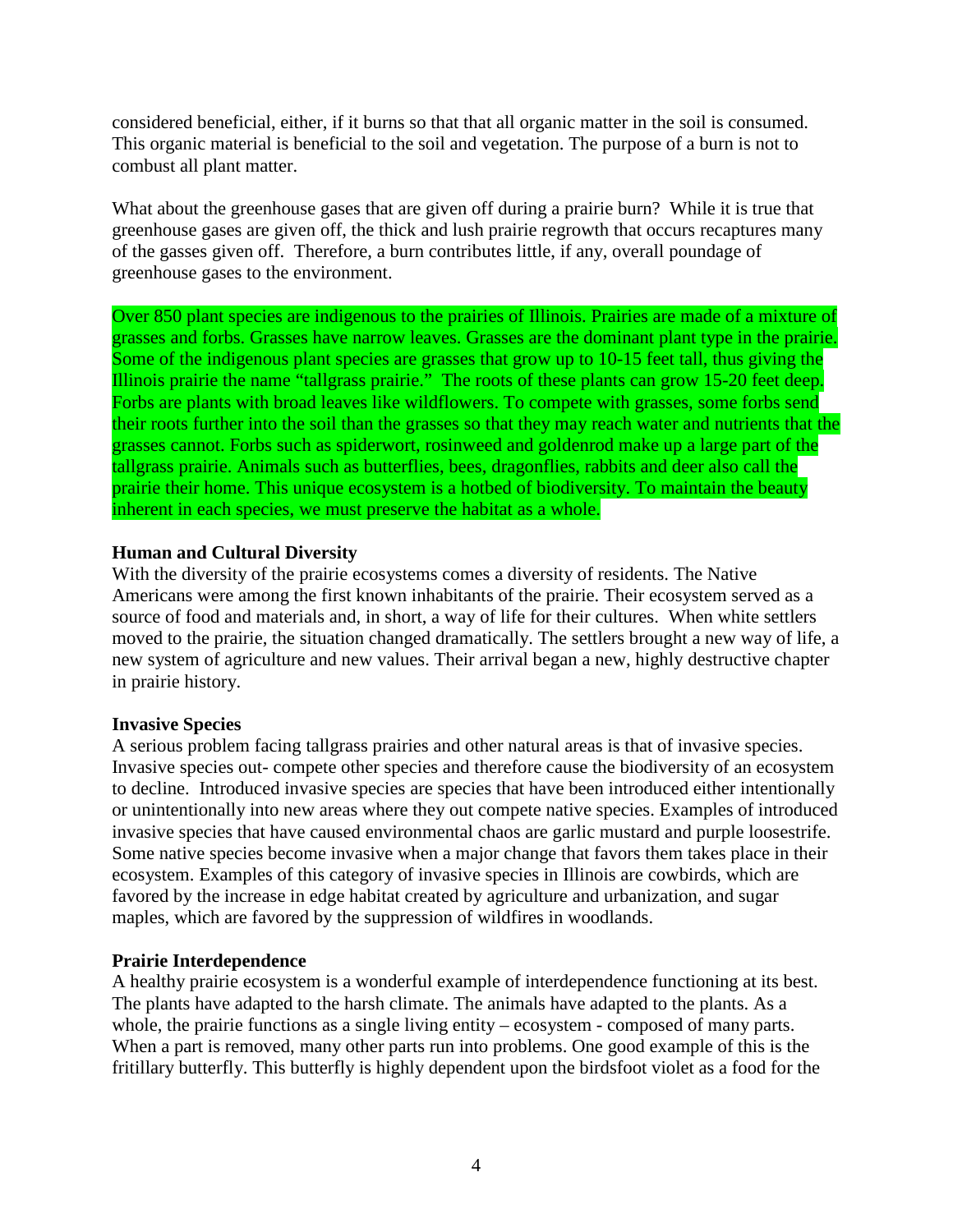considered beneficial, either, if it burns so that that all organic matter in the soil is consumed. This organic material is beneficial to the soil and vegetation. The purpose of a burn is not to combust all plant matter.

What about the greenhouse gases that are given off during a prairie burn? While it is true that greenhouse gases are given off, the thick and lush prairie regrowth that occurs recaptures many of the gasses given off. Therefore, a burn contributes little, if any, overall poundage of greenhouse gases to the environment.

Over 850 plant species are indigenous to the prairies of Illinois. Prairies are made of a mixture of grasses and forbs. Grasses have narrow leaves. Grasses are the dominant plant type in the prairie. Some of the indigenous plant species are grasses that grow up to 10-15 feet tall, thus giving the Illinois prairie the name "tallgrass prairie." The roots of these plants can grow 15-20 feet deep. Forbs are plants with broad leaves like wildflowers. To compete with grasses, some forbs send their roots further into the soil than the grasses so that they may reach water and nutrients that the grasses cannot. Forbs such as spiderwort, rosinweed and goldenrod make up a large part of the tallgrass prairie. Animals such as butterflies, bees, dragonflies, rabbits and deer also call the prairie their home. This unique ecosystem is a hotbed of biodiversity. To maintain the beauty inherent in each species, we must preserve the habitat as a whole.

### **Human and Cultural Diversity**

With the diversity of the prairie ecosystems comes a diversity of residents. The Native Americans were among the first known inhabitants of the prairie. Their ecosystem served as a source of food and materials and, in short, a way of life for their cultures. When white settlers moved to the prairie, the situation changed dramatically. The settlers brought a new way of life, a new system of agriculture and new values. Their arrival began a new, highly destructive chapter in prairie history.

### **Invasive Species**

A serious problem facing tallgrass prairies and other natural areas is that of invasive species. Invasive species out- compete other species and therefore cause the biodiversity of an ecosystem to decline. Introduced invasive species are species that have been introduced either intentionally or unintentionally into new areas where they out compete native species. Examples of introduced invasive species that have caused environmental chaos are garlic mustard and purple loosestrife. Some native species become invasive when a major change that favors them takes place in their ecosystem. Examples of this category of invasive species in Illinois are cowbirds, which are favored by the increase in edge habitat created by agriculture and urbanization, and sugar maples, which are favored by the suppression of wildfires in woodlands.

### **Prairie Interdependence**

A healthy prairie ecosystem is a wonderful example of interdependence functioning at its best. The plants have adapted to the harsh climate. The animals have adapted to the plants. As a whole, the prairie functions as a single living entity – ecosystem - composed of many parts. When a part is removed, many other parts run into problems. One good example of this is the fritillary butterfly. This butterfly is highly dependent upon the birdsfoot violet as a food for the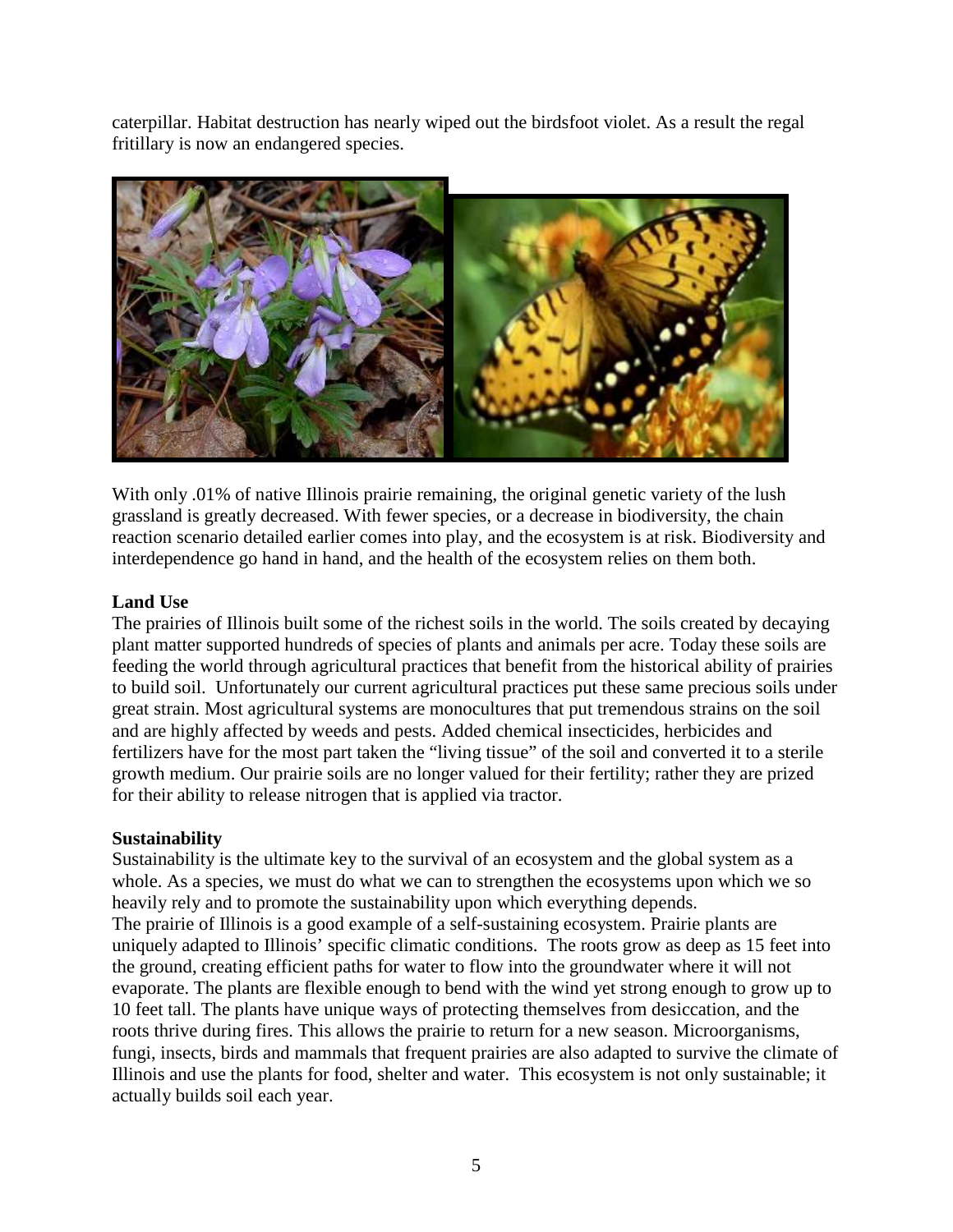caterpillar. Habitat destruction has nearly wiped out the birdsfoot violet. As a result the regal fritillary is now an endangered species.



With only .01% of native Illinois prairie remaining, the original genetic variety of the lush grassland is greatly decreased. With fewer species, or a decrease in biodiversity, the chain reaction scenario detailed earlier comes into play, and the ecosystem is at risk. Biodiversity and interdependence go hand in hand, and the health of the ecosystem relies on them both.

### **Land Use**

The prairies of Illinois built some of the richest soils in the world. The soils created by decaying plant matter supported hundreds of species of plants and animals per acre. Today these soils are feeding the world through agricultural practices that benefit from the historical ability of prairies to build soil. Unfortunately our current agricultural practices put these same precious soils under great strain. Most agricultural systems are monocultures that put tremendous strains on the soil and are highly affected by weeds and pests. Added chemical insecticides, herbicides and fertilizers have for the most part taken the "living tissue" of the soil and converted it to a sterile growth medium. Our prairie soils are no longer valued for their fertility; rather they are prized for their ability to release nitrogen that is applied via tractor.

### **Sustainability**

Sustainability is the ultimate key to the survival of an ecosystem and the global system as a whole. As a species, we must do what we can to strengthen the ecosystems upon which we so heavily rely and to promote the sustainability upon which everything depends. The prairie of Illinois is a good example of a self-sustaining ecosystem. Prairie plants are uniquely adapted to Illinois' specific climatic conditions. The roots grow as deep as 15 feet into the ground, creating efficient paths for water to flow into the groundwater where it will not evaporate. The plants are flexible enough to bend with the wind yet strong enough to grow up to 10 feet tall. The plants have unique ways of protecting themselves from desiccation, and the roots thrive during fires. This allows the prairie to return for a new season. Microorganisms, fungi, insects, birds and mammals that frequent prairies are also adapted to survive the climate of Illinois and use the plants for food, shelter and water. This ecosystem is not only sustainable; it actually builds soil each year.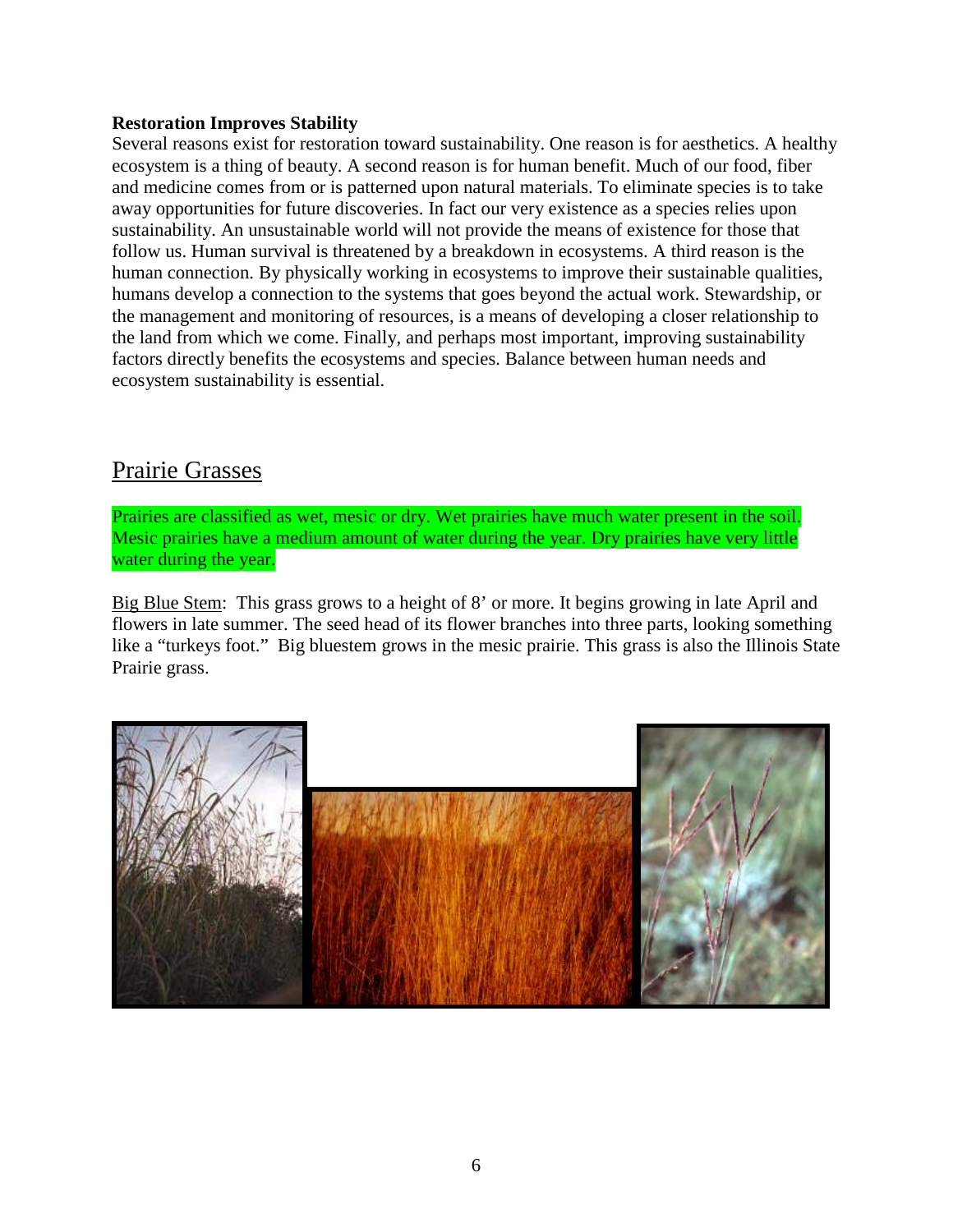### **Restoration Improves Stability**

Several reasons exist for restoration toward sustainability. One reason is for aesthetics. A healthy ecosystem is a thing of beauty. A second reason is for human benefit. Much of our food, fiber and medicine comes from or is patterned upon natural materials. To eliminate species is to take away opportunities for future discoveries. In fact our very existence as a species relies upon sustainability. An unsustainable world will not provide the means of existence for those that follow us. Human survival is threatened by a breakdown in ecosystems. A third reason is the human connection. By physically working in ecosystems to improve their sustainable qualities, humans develop a connection to the systems that goes beyond the actual work. Stewardship, or the management and monitoring of resources, is a means of developing a closer relationship to the land from which we come. Finally, and perhaps most important, improving sustainability factors directly benefits the ecosystems and species. Balance between human needs and ecosystem sustainability is essential.

### Prairie Grasses

Prairies are classified as wet, mesic or dry. Wet prairies have much water present in the soil. Mesic prairies have a medium amount of water during the year. Dry prairies have very little water during the year.

Big Blue Stem: This grass grows to a height of 8' or more. It begins growing in late April and flowers in late summer. The seed head of its flower branches into three parts, looking something like a "turkeys foot." Big bluestem grows in the mesic prairie. This grass is also the Illinois State Prairie grass.

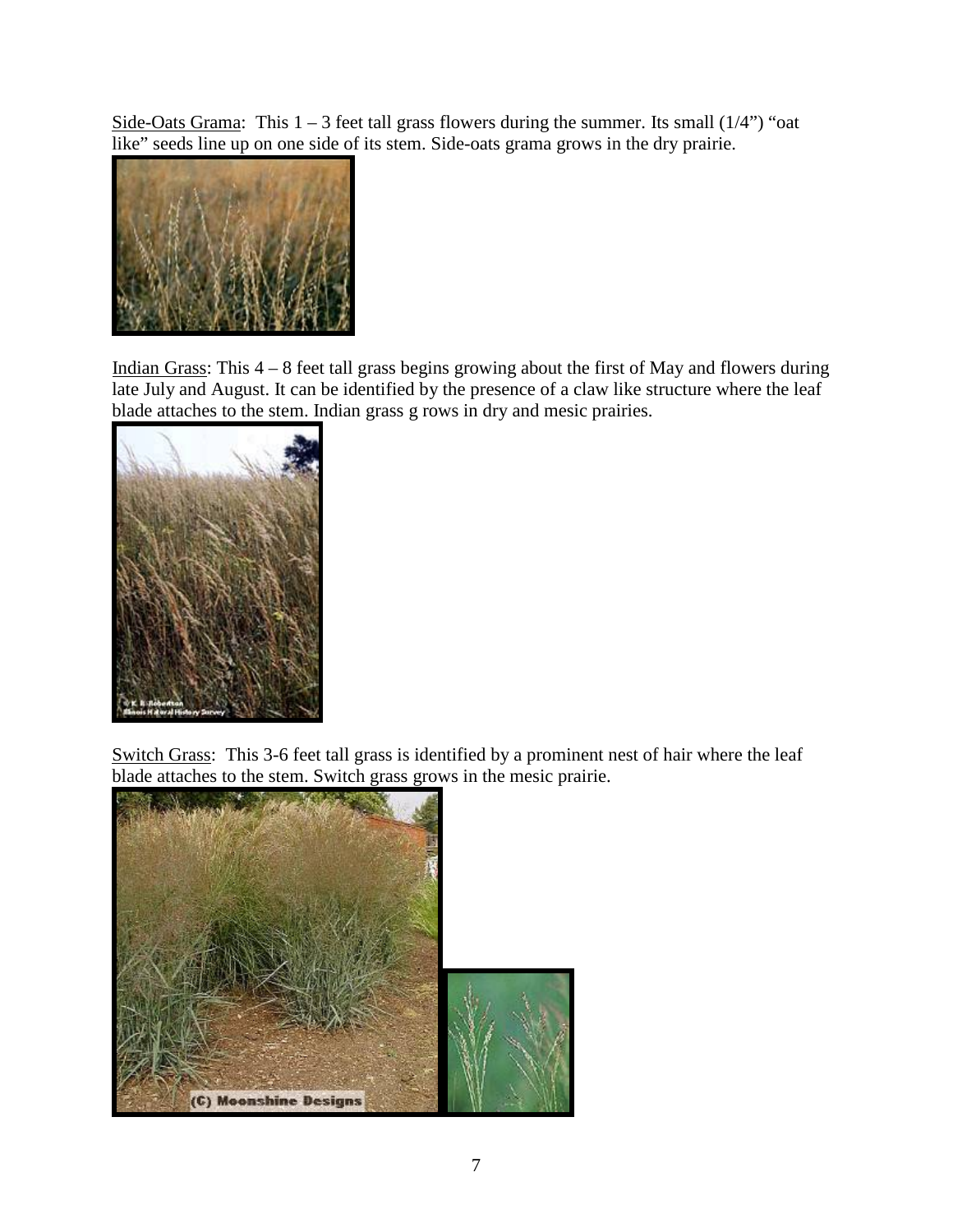Side-Oats Grama: This  $1 - 3$  feet tall grass flowers during the summer. Its small (1/4") "oat like" seeds line up on one side of its stem. Side-oats grama grows in the dry prairie.



Indian Grass: This 4 – 8 feet tall grass begins growing about the first of May and flowers during late July and August. It can be identified by the presence of a claw like structure where the leaf blade attaches to the stem. Indian grass g rows in dry and mesic prairies.



Switch Grass: This 3-6 feet tall grass is identified by a prominent nest of hair where the leaf blade attaches to the stem. Switch grass grows in the mesic prairie.

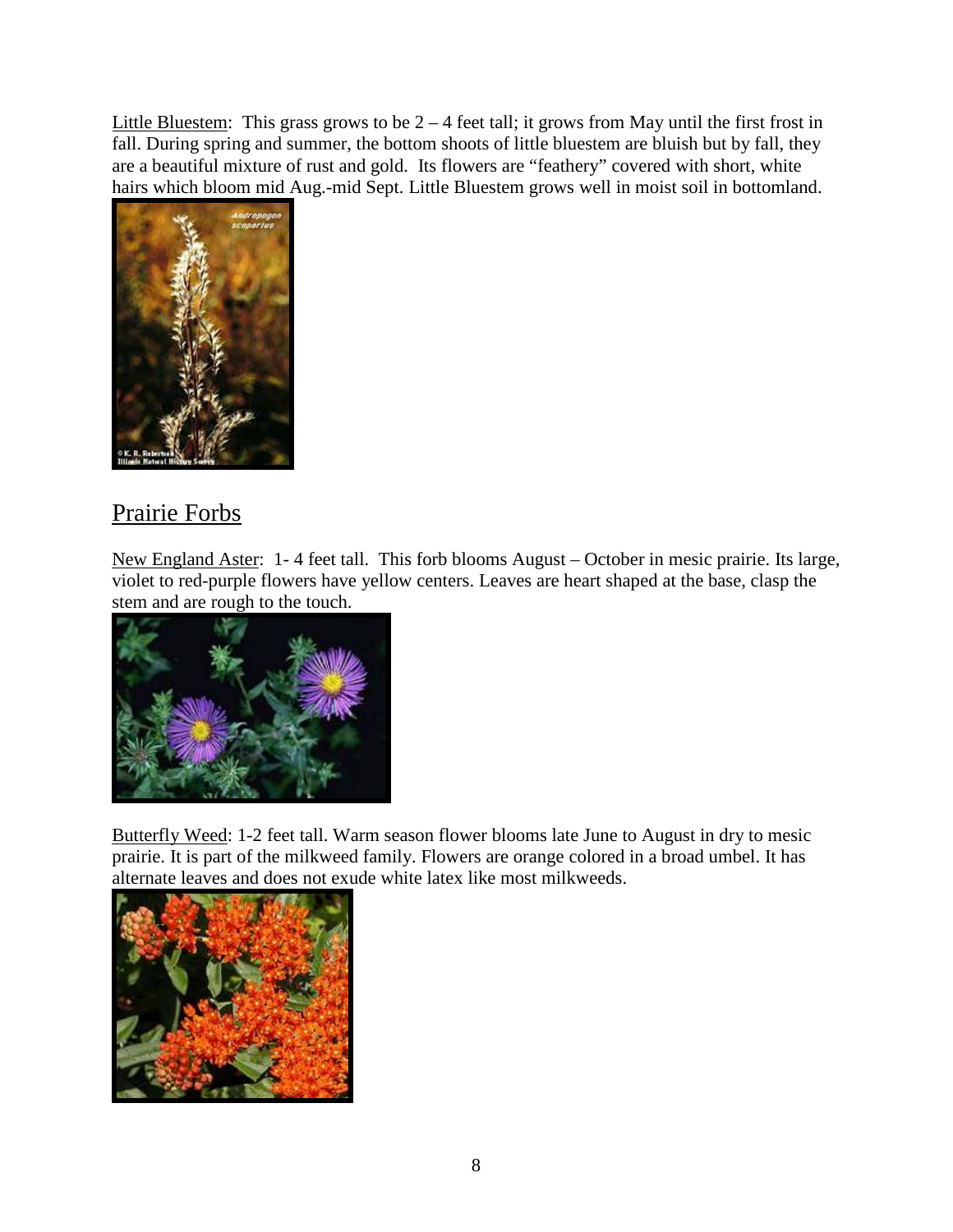Little Bluestem: This grass grows to be  $2 - 4$  feet tall; it grows from May until the first frost in fall. During spring and summer, the bottom shoots of little bluestem are bluish but by fall, they are a beautiful mixture of rust and gold. Its flowers are "feathery" covered with short, white hairs which bloom mid Aug.-mid Sept. Little Bluestem grows well in moist soil in bottomland.



### Prairie Forbs

New England Aster: 1- 4 feet tall. This forb blooms August – October in mesic prairie. Its large, violet to red-purple flowers have yellow centers. Leaves are heart shaped at the base, clasp the stem and are rough to the touch.



Butterfly Weed: 1-2 feet tall. Warm season flower blooms late June to August in dry to mesic prairie. It is part of the milkweed family. Flowers are orange colored in a broad umbel. It has alternate leaves and does not exude white latex like most milkweeds.

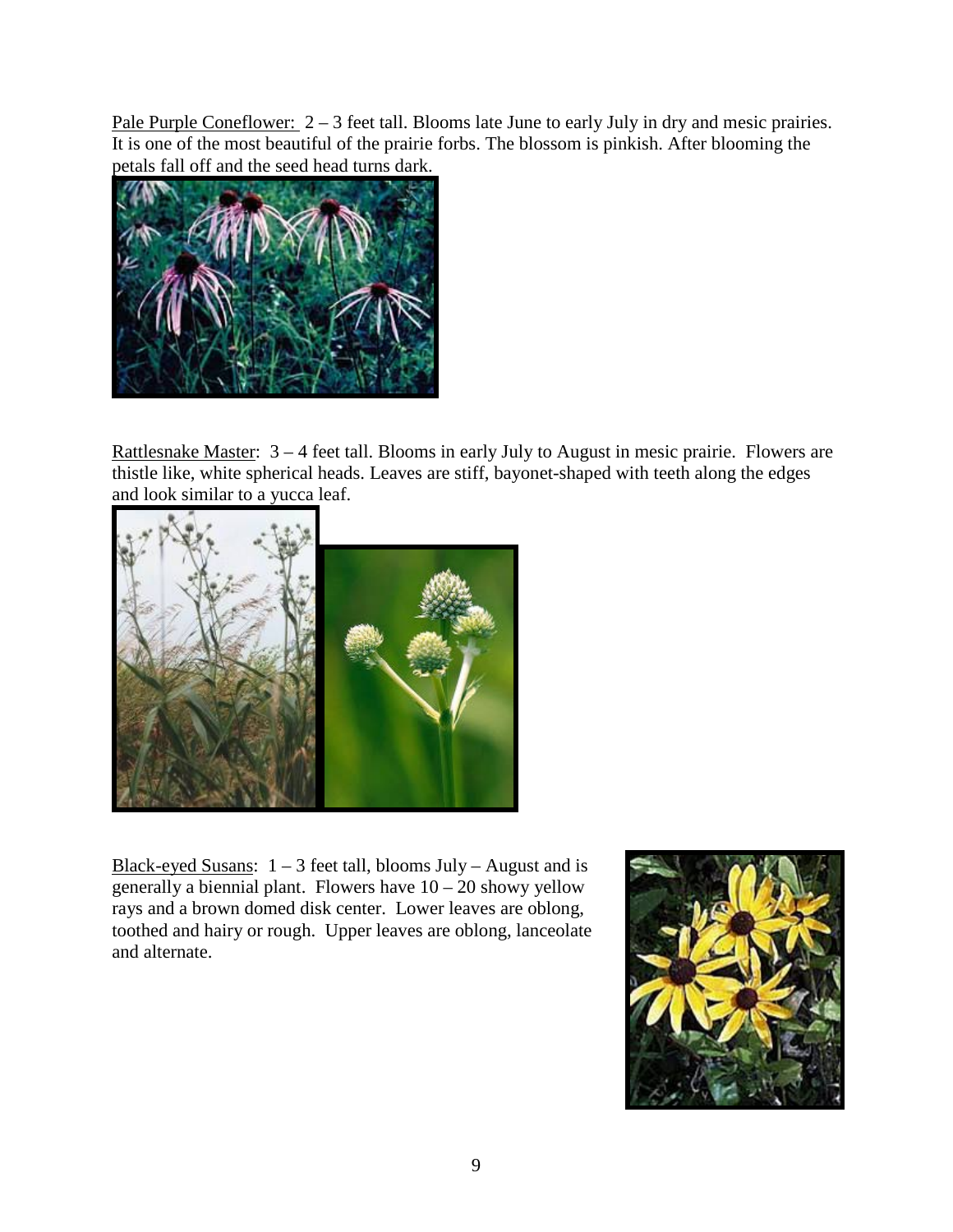Pale Purple Coneflower: 2 – 3 feet tall. Blooms late June to early July in dry and mesic prairies. It is one of the most beautiful of the prairie forbs. The blossom is pinkish. After blooming the petals fall off and the seed head turns dark.



Rattlesnake Master: 3 – 4 feet tall. Blooms in early July to August in mesic prairie. Flowers are thistle like, white spherical heads. Leaves are stiff, bayonet-shaped with teeth along the edges and look similar to a yucca leaf.



Black-eyed Susans:  $1 - 3$  feet tall, blooms July – August and is generally a biennial plant. Flowers have  $10 - 20$  showy yellow rays and a brown domed disk center. Lower leaves are oblong, toothed and hairy or rough. Upper leaves are oblong, lanceolate and alternate.

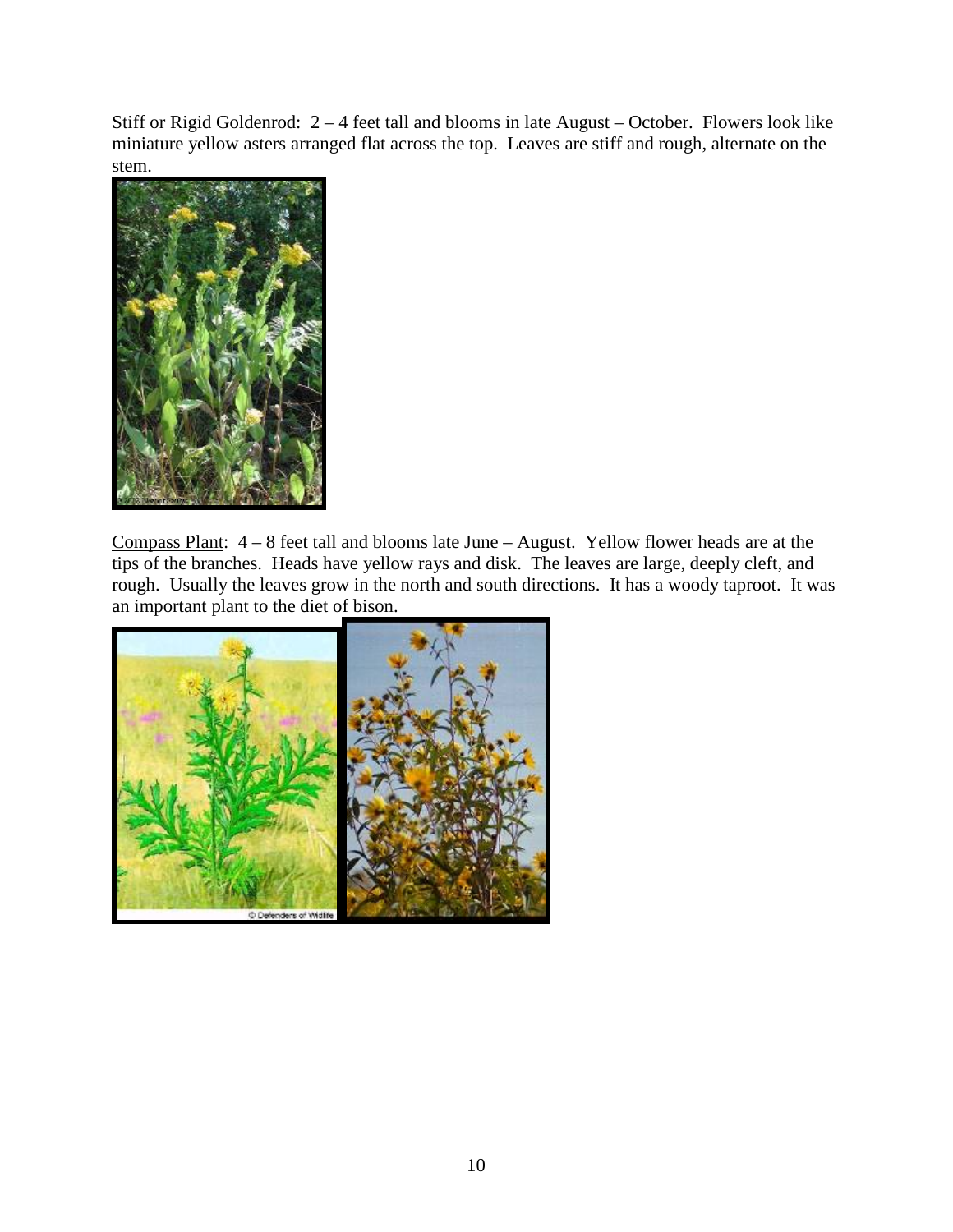Stiff or Rigid Goldenrod:  $2 - 4$  feet tall and blooms in late August – October. Flowers look like miniature yellow asters arranged flat across the top. Leaves are stiff and rough, alternate on the stem.



Compass Plant: 4 – 8 feet tall and blooms late June – August. Yellow flower heads are at the tips of the branches. Heads have yellow rays and disk. The leaves are large, deeply cleft, and rough. Usually the leaves grow in the north and south directions. It has a woody taproot. It was an important plant to the diet of bison.

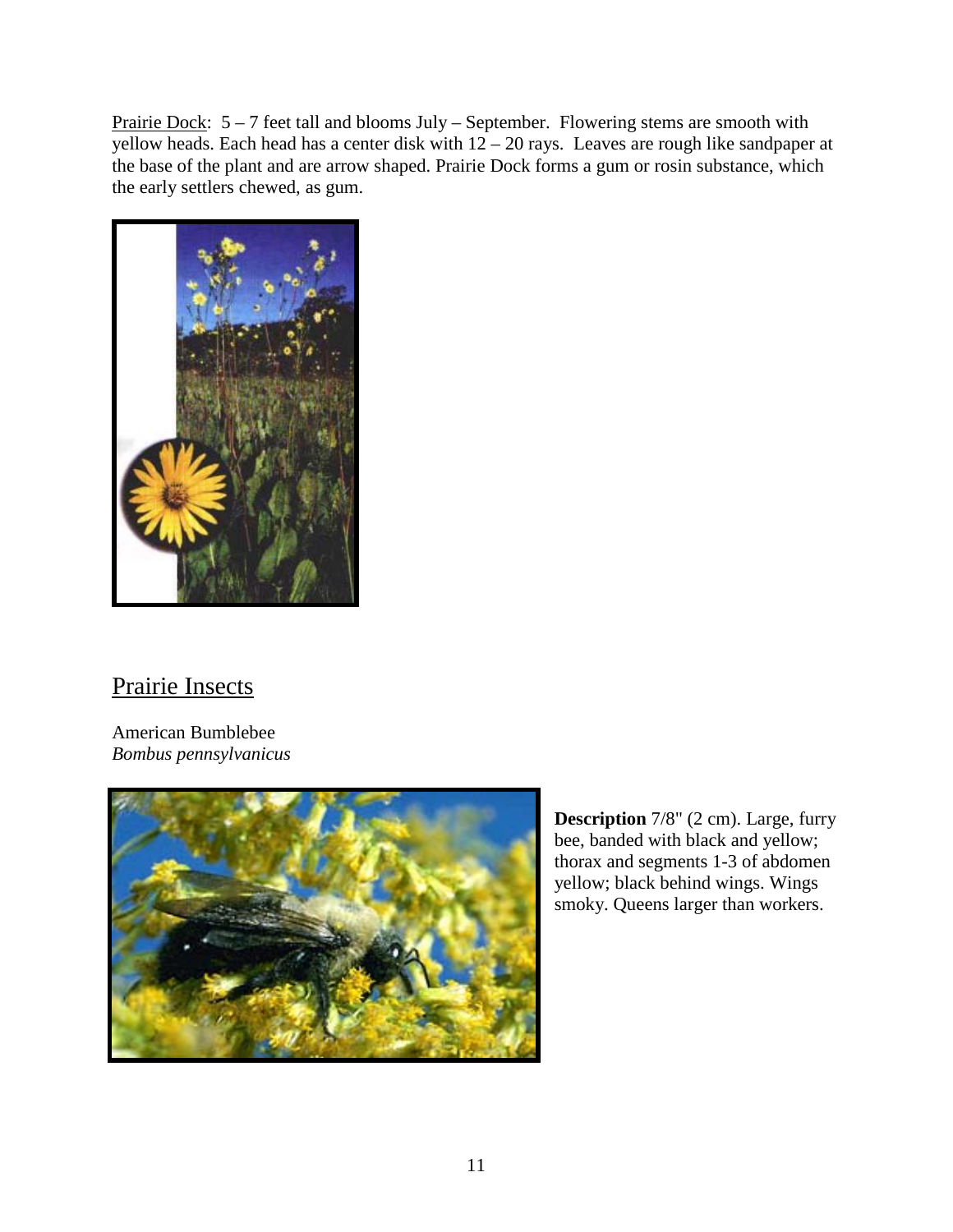Prairie Dock: 5 – 7 feet tall and blooms July – September. Flowering stems are smooth with yellow heads. Each head has a center disk with  $12 - 20$  rays. Leaves are rough like sandpaper at the base of the plant and are arrow shaped. Prairie Dock forms a gum or rosin substance, which the early settlers chewed, as gum.



### Prairie Insects

American Bumblebee *Bombus pennsylvanicus*



**Description** 7/8" (2 cm). Large, furry bee, banded with black and yellow; thorax and segments 1-3 of abdomen yellow; black behind wings. Wings smoky. Queens larger than workers.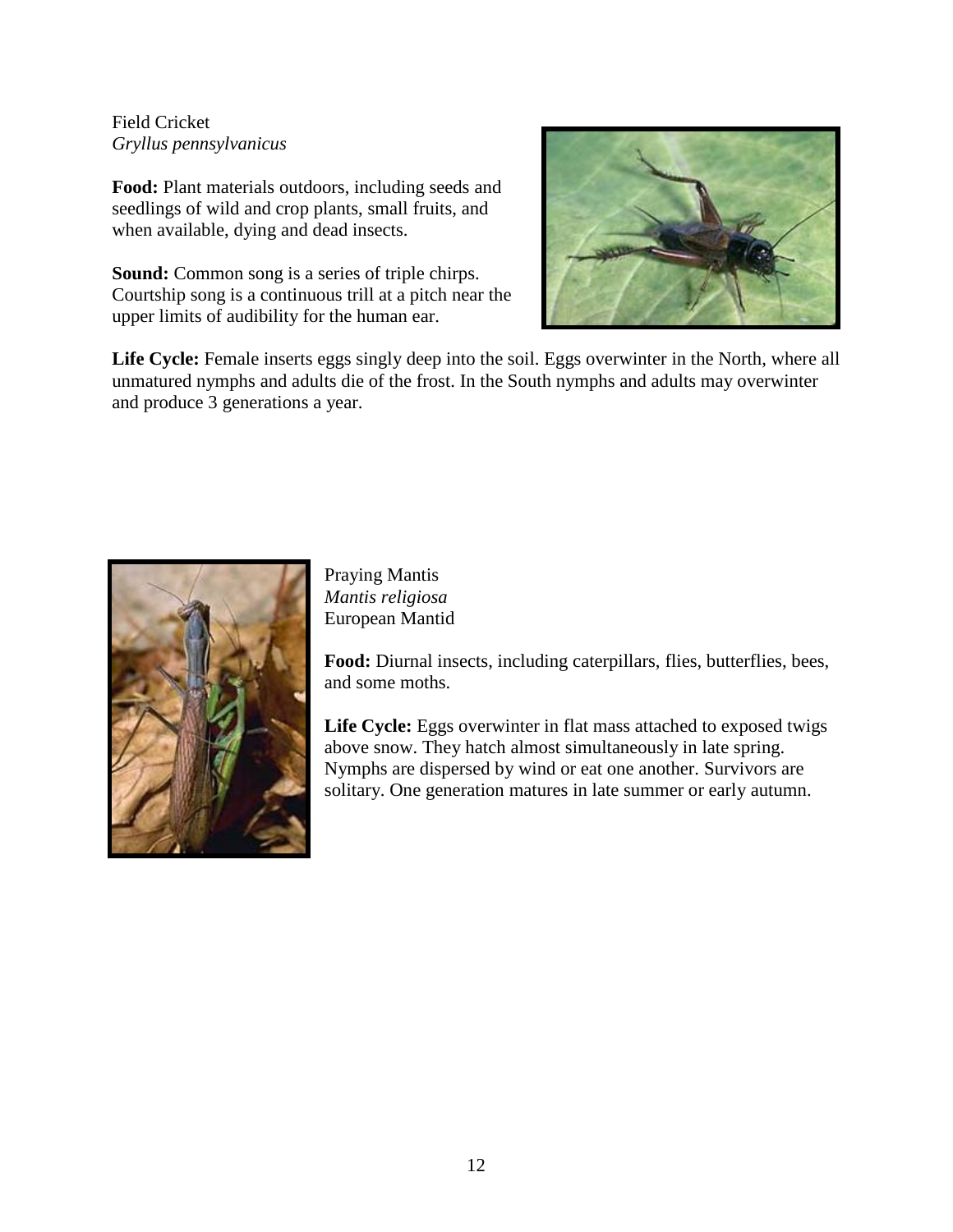Field Cricket *Gryllus pennsylvanicus*

**Food:** Plant materials outdoors, including seeds and seedlings of wild and crop plants, small fruits, and when available, dying and dead insects.

**Sound:** Common song is a series of triple chirps. Courtship song is a continuous trill at a pitch near the upper limits of audibility for the human ear.



Life Cycle: Female inserts eggs singly deep into the soil. Eggs overwinter in the North, where all unmatured nymphs and adults die of the frost. In the South nymphs and adults may overwinter and produce 3 generations a year.



Praying Mantis *Mantis religiosa* European Mantid

**Food:** Diurnal insects, including caterpillars, flies, butterflies, bees, and some moths.

**Life Cycle:** Eggs overwinter in flat mass attached to exposed twigs above snow. They hatch almost simultaneously in late spring. Nymphs are dispersed by wind or eat one another. Survivors are solitary. One generation matures in late summer or early autumn.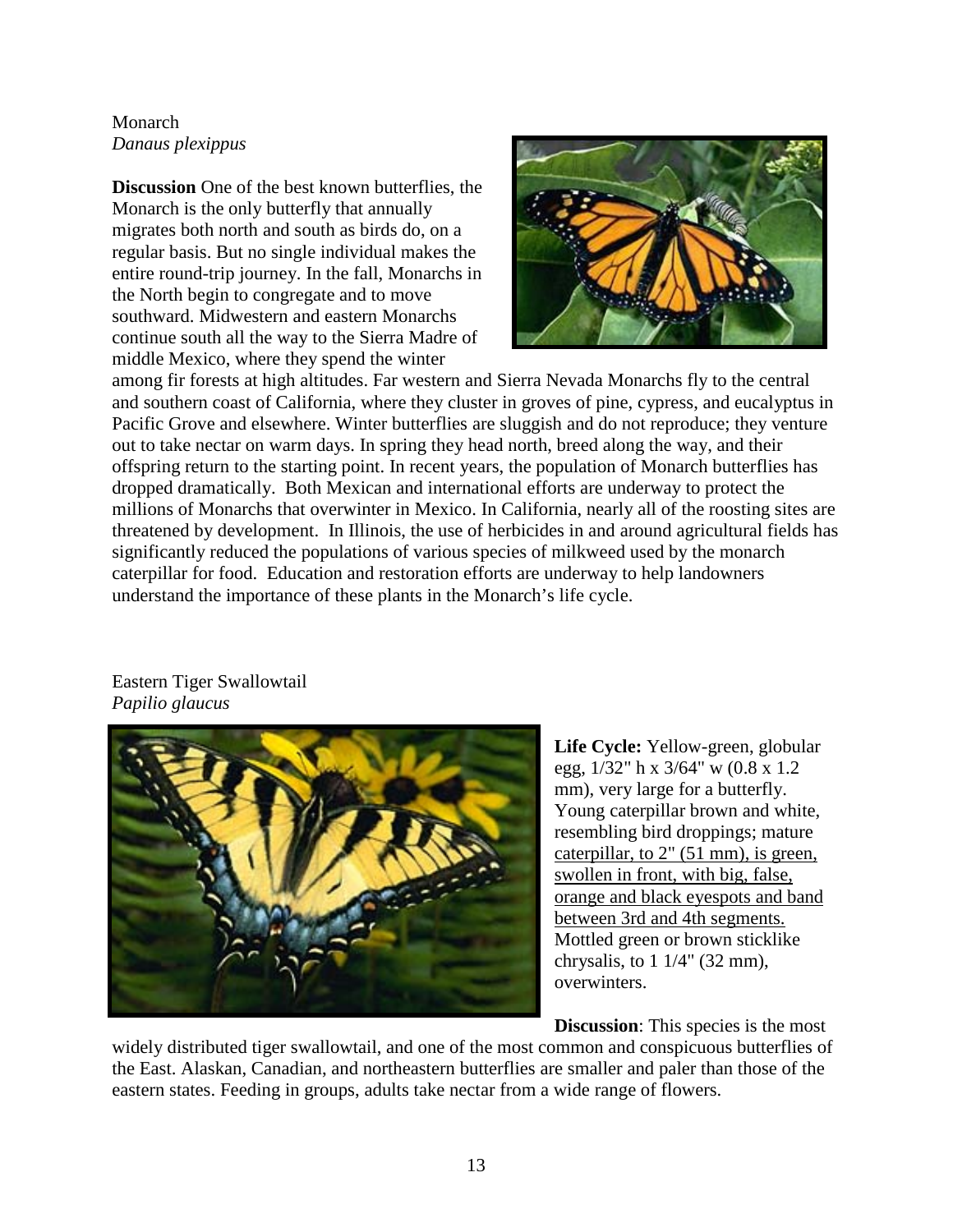### Monarch *Danaus plexippus*

**Discussion** One of the best known butterflies, the Monarch is the only butterfly that annually migrates both north and south as birds do, on a regular basis. But no single individual makes the entire round-trip journey. In the fall, Monarchs in the North begin to congregate and to move southward. Midwestern and eastern Monarchs continue south all the way to the Sierra Madre of middle Mexico, where they spend the winter



among fir forests at high altitudes. Far western and Sierra Nevada Monarchs fly to the central and southern coast of California, where they cluster in groves of pine, cypress, and eucalyptus in Pacific Grove and elsewhere. Winter butterflies are sluggish and do not reproduce; they venture out to take nectar on warm days. In spring they head north, breed along the way, and their offspring return to the starting point. In recent years, the population of Monarch butterflies has dropped dramatically. Both Mexican and international efforts are underway to protect the millions of Monarchs that overwinter in Mexico. In California, nearly all of the roosting sites are threatened by development. In Illinois, the use of herbicides in and around agricultural fields has significantly reduced the populations of various species of milkweed used by the monarch caterpillar for food. Education and restoration efforts are underway to help landowners understand the importance of these plants in the Monarch's life cycle.

### Eastern Tiger Swallowtail *Papilio glaucus*



**Life Cycle:** Yellow-green, globular egg, 1/32" h x 3/64" w (0.8 x 1.2 mm), very large for a butterfly. Young caterpillar brown and white, resembling bird droppings; mature caterpillar, to 2" (51 mm), is green, swollen in front, with big, false, orange and black eyespots and band between 3rd and 4th segments. Mottled green or brown sticklike chrysalis, to 1 1/4" (32 mm), overwinters.

**Discussion**: This species is the most

widely distributed tiger swallowtail, and one of the most common and conspicuous butterflies of the East. Alaskan, Canadian, and northeastern butterflies are smaller and paler than those of the eastern states. Feeding in groups, adults take nectar from a wide range of flowers.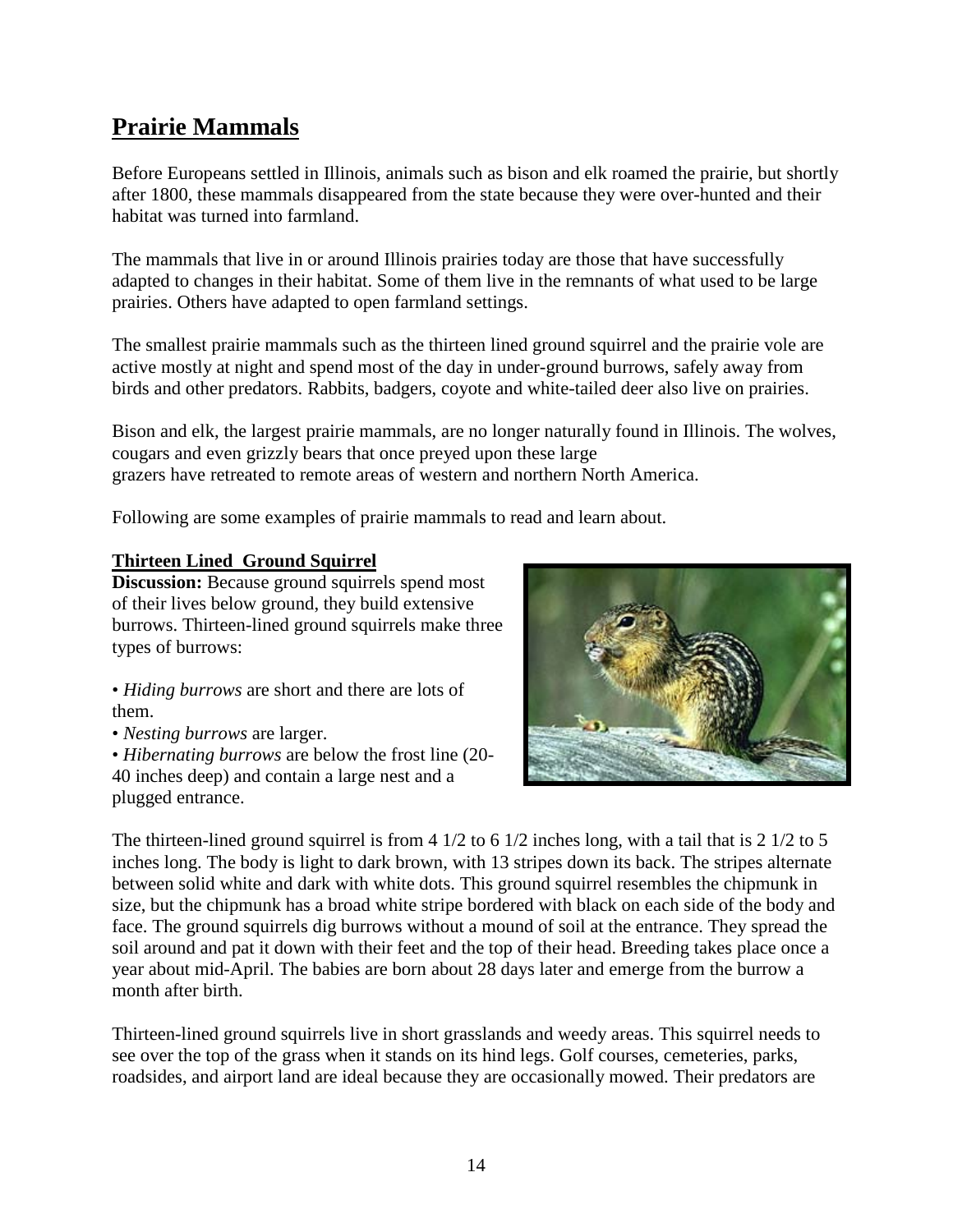## **Prairie Mammals**

Before Europeans settled in Illinois, animals such as bison and elk roamed the prairie, but shortly after 1800, these mammals disappeared from the state because they were over-hunted and their habitat was turned into farmland.

The mammals that live in or around Illinois prairies today are those that have successfully adapted to changes in their habitat. Some of them live in the remnants of what used to be large prairies. Others have adapted to open farmland settings.

The smallest prairie mammals such as the thirteen lined ground squirrel and the prairie vole are active mostly at night and spend most of the day in under-ground burrows, safely away from birds and other predators. Rabbits, badgers, coyote and white-tailed deer also live on prairies.

Bison and elk, the largest prairie mammals, are no longer naturally found in Illinois. The wolves, cougars and even grizzly bears that once preyed upon these large grazers have retreated to remote areas of western and northern North America.

Following are some examples of prairie mammals to read and learn about.

### **Thirteen Lined Ground Squirrel**

**Discussion:** Because ground squirrels spend most of their lives below ground, they build extensive burrows. Thirteen-lined ground squirrels make three types of burrows:

- *Hiding burrows* are short and there are lots of them.
- *Nesting burrows* are larger.
- *Hibernating burrows* are below the frost line (20- 40 inches deep) and contain a large nest and a plugged entrance.



The thirteen-lined ground squirrel is from 4  $1/2$  to 6  $1/2$  inches long, with a tail that is 2  $1/2$  to 5 inches long. The body is light to dark brown, with 13 stripes down its back. The stripes alternate between solid white and dark with white dots. This ground squirrel resembles the chipmunk in size, but the chipmunk has a broad white stripe bordered with black on each side of the body and face. The ground squirrels dig burrows without a mound of soil at the entrance. They spread the soil around and pat it down with their feet and the top of their head. Breeding takes place once a year about mid-April. The babies are born about 28 days later and emerge from the burrow a month after birth.

Thirteen-lined ground squirrels live in short grasslands and weedy areas. This squirrel needs to see over the top of the grass when it stands on its hind legs. Golf courses, cemeteries, parks, roadsides, and airport land are ideal because they are occasionally mowed. Their predators are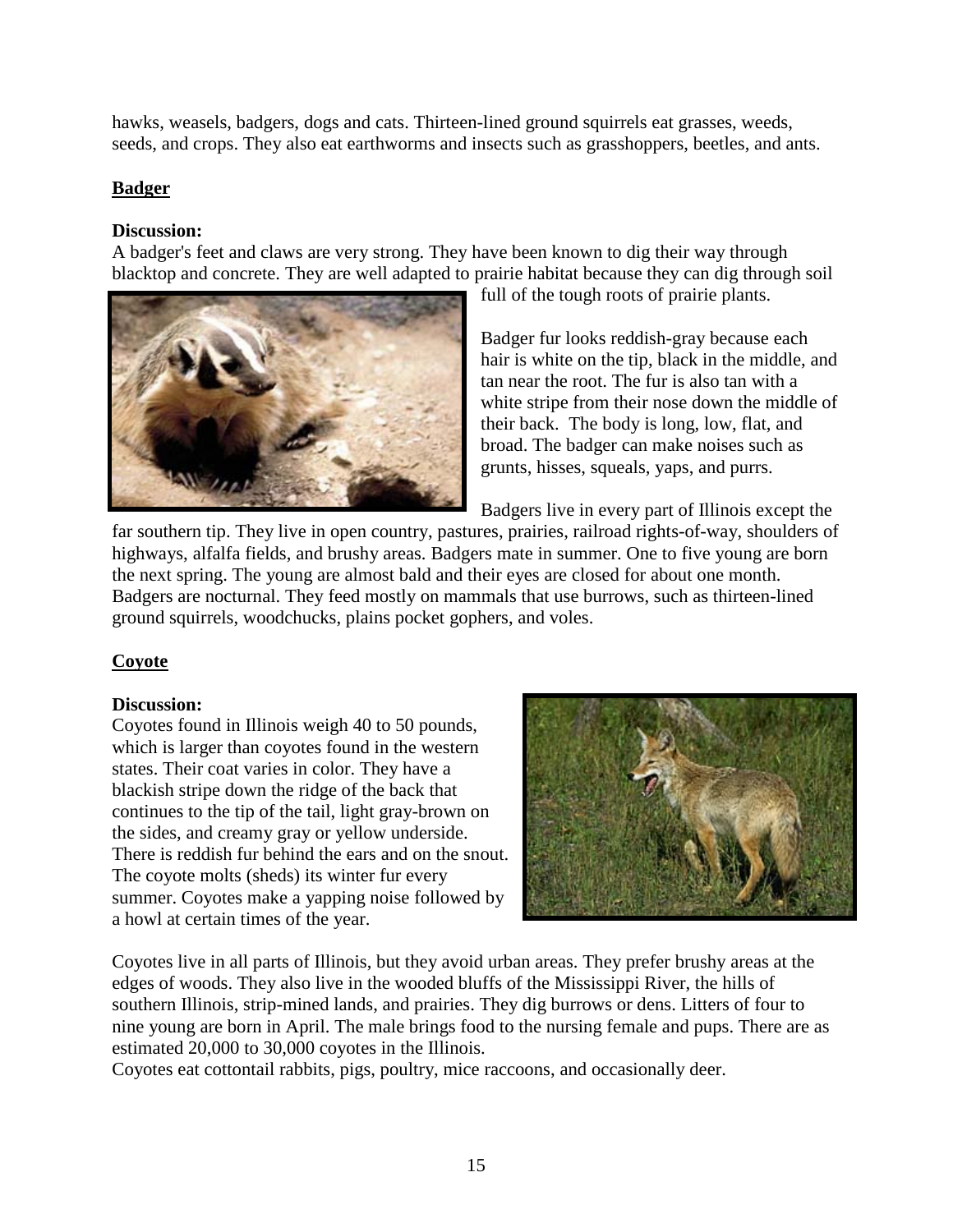hawks, weasels, badgers, dogs and cats. Thirteen-lined ground squirrels eat grasses, weeds, seeds, and crops. They also eat earthworms and insects such as grasshoppers, beetles, and ants.

### **Badger**

### **Discussion:**

A badger's feet and claws are very strong. They have been known to dig their way through blacktop and concrete. They are well adapted to prairie habitat because they can dig through soil



full of the tough roots of prairie plants.

Badger fur looks reddish-gray because each hair is white on the tip, black in the middle, and tan near the root. The fur is also tan with a white stripe from their nose down the middle of their back. The body is long, low, flat, and broad. The badger can make noises such as grunts, hisses, squeals, yaps, and purrs.

Badgers live in every part of Illinois except the

far southern tip. They live in open country, pastures, prairies, railroad rights-of-way, shoulders of highways, alfalfa fields, and brushy areas. Badgers mate in summer. One to five young are born the next spring. The young are almost bald and their eyes are closed for about one month. Badgers are nocturnal. They feed mostly on mammals that use burrows, such as thirteen-lined ground squirrels, woodchucks, plains pocket gophers, and voles.

### **Coyote**

### **Discussion:**

Coyotes found in Illinois weigh 40 to 50 pounds, which is larger than coyotes found in the western states. Their coat varies in color. They have a blackish stripe down the ridge of the back that continues to the tip of the tail, light gray-brown on the sides, and creamy gray or yellow underside. There is reddish fur behind the ears and on the snout. The coyote molts (sheds) its winter fur every summer. Coyotes make a yapping noise followed by a howl at certain times of the year.



Coyotes live in all parts of Illinois, but they avoid urban areas. They prefer brushy areas at the edges of woods. They also live in the wooded bluffs of the Mississippi River, the hills of southern Illinois, strip-mined lands, and prairies. They dig burrows or dens. Litters of four to nine young are born in April. The male brings food to the nursing female and pups. There are as estimated 20,000 to 30,000 coyotes in the Illinois.

Coyotes eat cottontail rabbits, pigs, poultry, mice raccoons, and occasionally deer.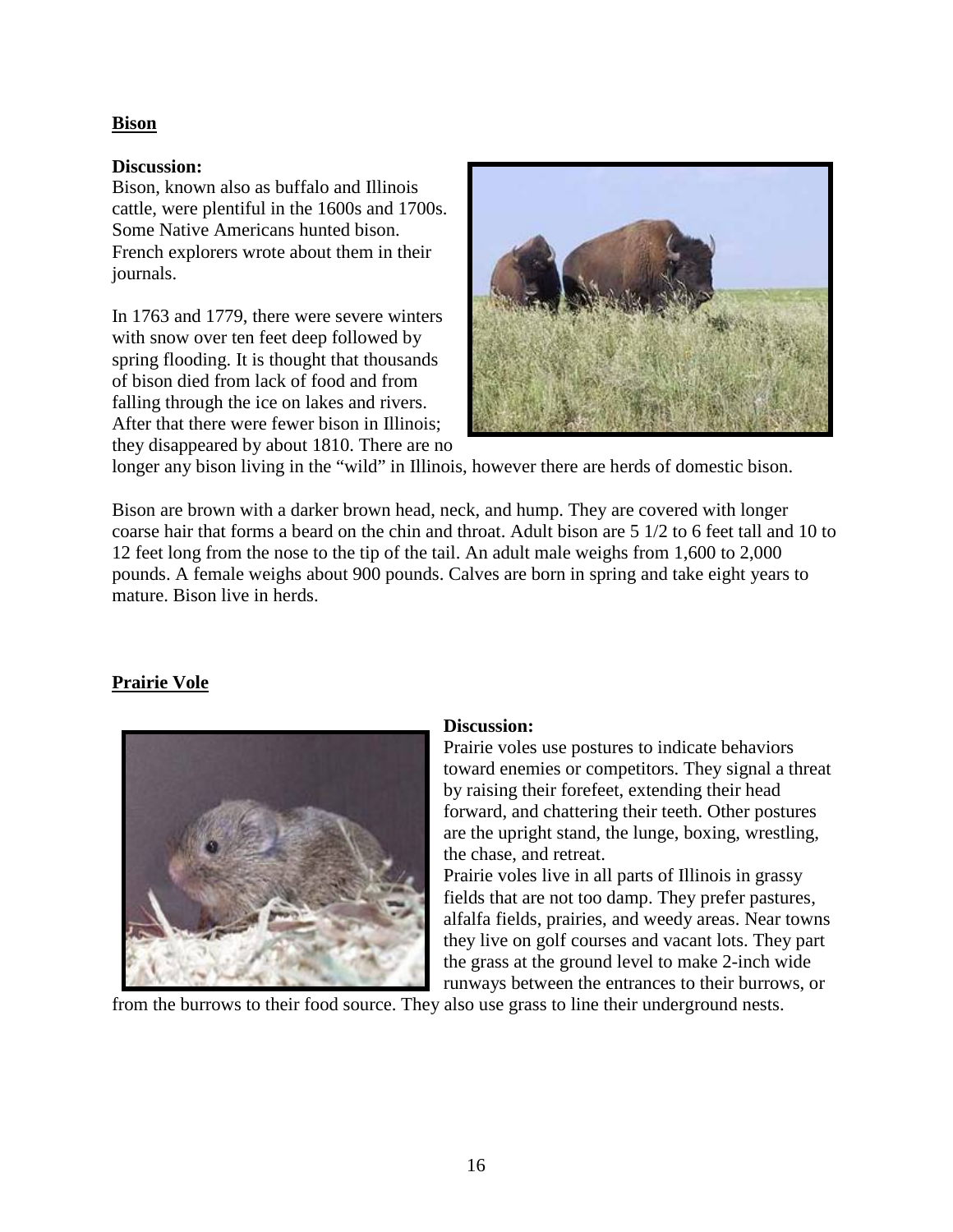### **Bison**

### **Discussion:**

Bison, known also as buffalo and Illinois cattle, were plentiful in the 1600s and 1700s. Some Native Americans hunted bison. French explorers wrote about them in their journals.

In 1763 and 1779, there were severe winters with snow over ten feet deep followed by spring flooding. It is thought that thousands of bison died from lack of food and from falling through the ice on lakes and rivers. After that there were fewer bison in Illinois; they disappeared by about 1810. There are no



longer any bison living in the "wild" in Illinois, however there are herds of domestic bison.

Bison are brown with a darker brown head, neck, and hump. They are covered with longer coarse hair that forms a beard on the chin and throat. Adult bison are 5 1/2 to 6 feet tall and 10 to 12 feet long from the nose to the tip of the tail. An adult male weighs from 1,600 to 2,000 pounds. A female weighs about 900 pounds. Calves are born in spring and take eight years to mature. Bison live in herds.

### **Prairie Vole**



### **Discussion:**

Prairie voles use postures to indicate behaviors toward enemies or competitors. They signal a threat by raising their forefeet, extending their head forward, and chattering their teeth. Other postures are the upright stand, the lunge, boxing, wrestling, the chase, and retreat.

Prairie voles live in all parts of Illinois in grassy fields that are not too damp. They prefer pastures, alfalfa fields, prairies, and weedy areas. Near towns they live on golf courses and vacant lots. They part the grass at the ground level to make 2-inch wide runways between the entrances to their burrows, or

from the burrows to their food source. They also use grass to line their underground nests.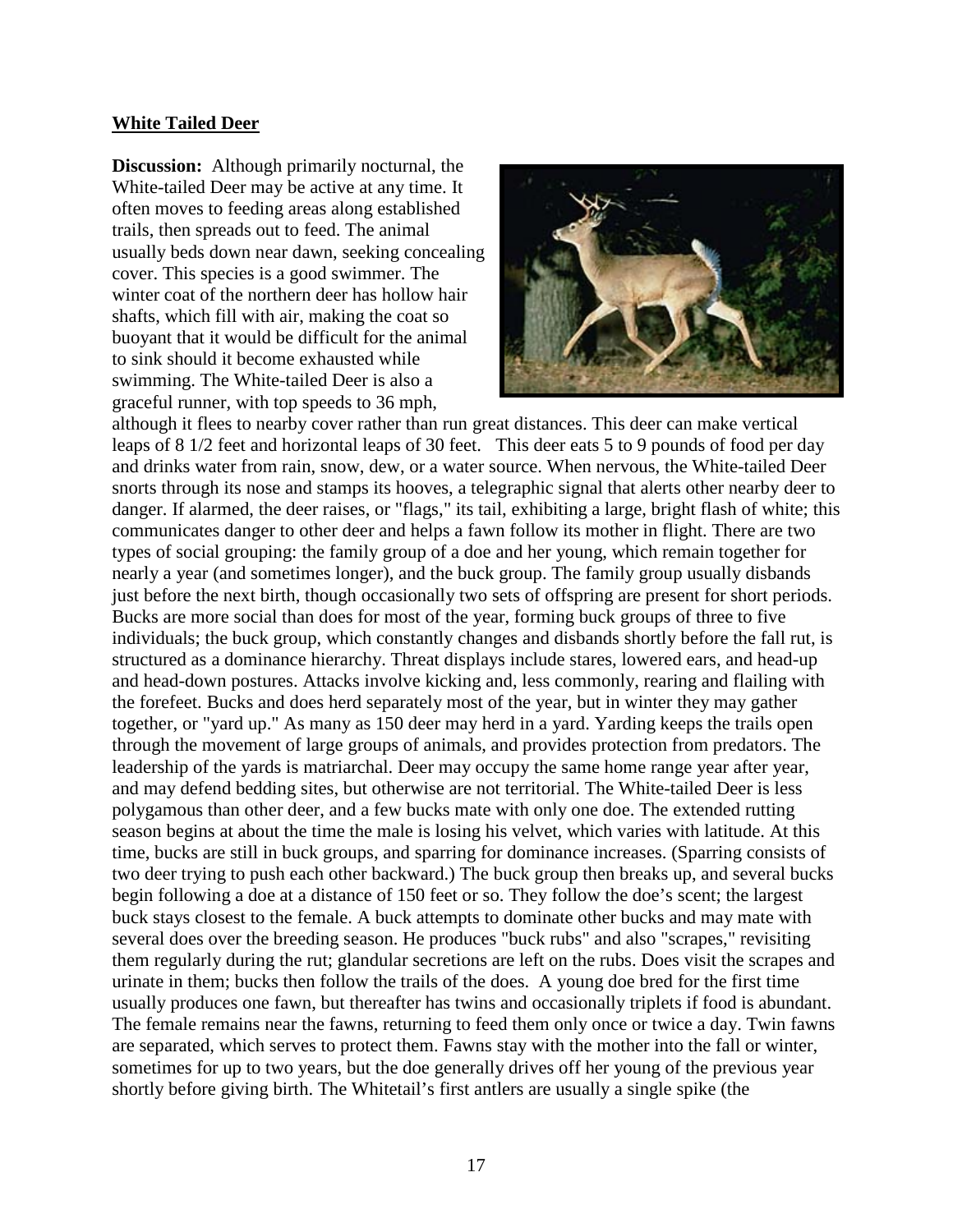#### **White Tailed Deer**

**Discussion:** Although primarily nocturnal, the White-tailed Deer may be active at any time. It often moves to feeding areas along established trails, then spreads out to feed. The animal usually beds down near dawn, seeking concealing cover. This species is a good swimmer. The winter coat of the northern deer has hollow hair shafts, which fill with air, making the coat so buoyant that it would be difficult for the animal to sink should it become exhausted while swimming. The White-tailed Deer is also a graceful runner, with top speeds to 36 mph,



although it flees to nearby cover rather than run great distances. This deer can make vertical leaps of 8 1/2 feet and horizontal leaps of 30 feet. This deer eats 5 to 9 pounds of food per day and drinks water from rain, snow, dew, or a water source. When nervous, the White-tailed Deer snorts through its nose and stamps its hooves, a telegraphic signal that alerts other nearby deer to danger. If alarmed, the deer raises, or "flags," its tail, exhibiting a large, bright flash of white; this communicates danger to other deer and helps a fawn follow its mother in flight. There are two types of social grouping: the family group of a doe and her young, which remain together for nearly a year (and sometimes longer), and the buck group. The family group usually disbands just before the next birth, though occasionally two sets of offspring are present for short periods. Bucks are more social than does for most of the year, forming buck groups of three to five individuals; the buck group, which constantly changes and disbands shortly before the fall rut, is structured as a dominance hierarchy. Threat displays include stares, lowered ears, and head-up and head-down postures. Attacks involve kicking and, less commonly, rearing and flailing with the forefeet. Bucks and does herd separately most of the year, but in winter they may gather together, or "yard up." As many as 150 deer may herd in a yard. Yarding keeps the trails open through the movement of large groups of animals, and provides protection from predators. The leadership of the yards is matriarchal. Deer may occupy the same home range year after year, and may defend bedding sites, but otherwise are not territorial. The White-tailed Deer is less polygamous than other deer, and a few bucks mate with only one doe. The extended rutting season begins at about the time the male is losing his velvet, which varies with latitude. At this time, bucks are still in buck groups, and sparring for dominance increases. (Sparring consists of two deer trying to push each other backward.) The buck group then breaks up, and several bucks begin following a doe at a distance of 150 feet or so. They follow the doe's scent; the largest buck stays closest to the female. A buck attempts to dominate other bucks and may mate with several does over the breeding season. He produces "buck rubs" and also "scrapes," revisiting them regularly during the rut; glandular secretions are left on the rubs. Does visit the scrapes and urinate in them; bucks then follow the trails of the does. A young doe bred for the first time usually produces one fawn, but thereafter has twins and occasionally triplets if food is abundant. The female remains near the fawns, returning to feed them only once or twice a day. Twin fawns are separated, which serves to protect them. Fawns stay with the mother into the fall or winter, sometimes for up to two years, but the doe generally drives off her young of the previous year shortly before giving birth. The Whitetail's first antlers are usually a single spike (the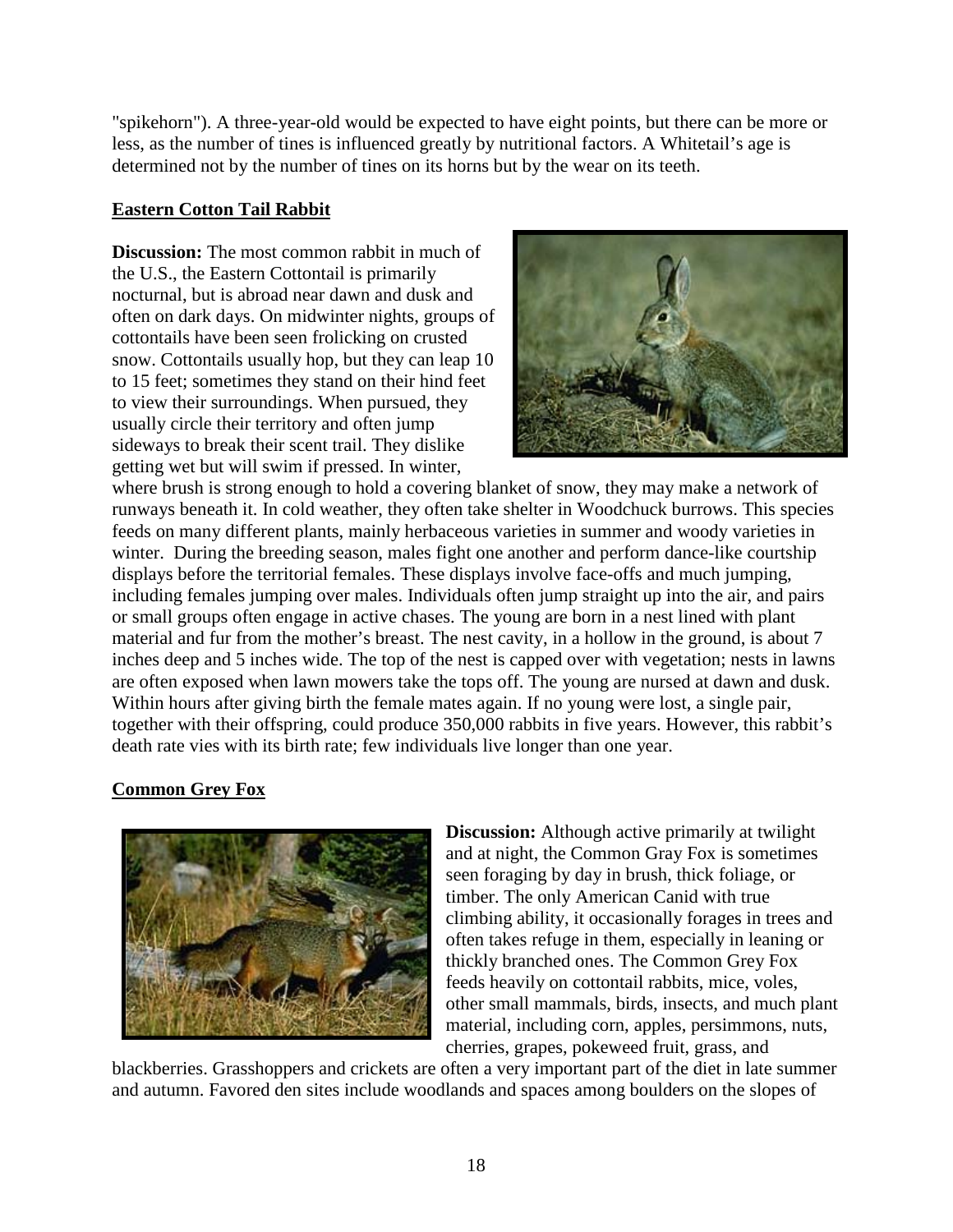"spikehorn"). A three-year-old would be expected to have eight points, but there can be more or less, as the number of tines is influenced greatly by nutritional factors. A Whitetail's age is determined not by the number of tines on its horns but by the wear on its teeth.

### **Eastern Cotton Tail Rabbit**

**Discussion:** The most common rabbit in much of the U.S., the Eastern Cottontail is primarily nocturnal, but is abroad near dawn and dusk and often on dark days. On midwinter nights, groups of cottontails have been seen frolicking on crusted snow. Cottontails usually hop, but they can leap 10 to 15 feet; sometimes they stand on their hind feet to view their surroundings. When pursued, they usually circle their territory and often jump sideways to break their scent trail. They dislike getting wet but will swim if pressed. In winter,



where brush is strong enough to hold a covering blanket of snow, they may make a network of runways beneath it. In cold weather, they often take shelter in Woodchuck burrows. This species feeds on many different plants, mainly herbaceous varieties in summer and woody varieties in winter. During the breeding season, males fight one another and perform dance-like courtship displays before the territorial females. These displays involve face-offs and much jumping, including females jumping over males. Individuals often jump straight up into the air, and pairs or small groups often engage in active chases. The young are born in a nest lined with plant material and fur from the mother's breast. The nest cavity, in a hollow in the ground, is about 7 inches deep and 5 inches wide. The top of the nest is capped over with vegetation; nests in lawns are often exposed when lawn mowers take the tops off. The young are nursed at dawn and dusk. Within hours after giving birth the female mates again. If no young were lost, a single pair, together with their offspring, could produce 350,000 rabbits in five years. However, this rabbit's death rate vies with its birth rate; few individuals live longer than one year.

### **Common Grey Fox**



**Discussion:** Although active primarily at twilight and at night, the Common Gray Fox is sometimes seen foraging by day in brush, thick foliage, or timber. The only American Canid with true climbing ability, it occasionally forages in trees and often takes refuge in them, especially in leaning or thickly branched ones. The Common Grey Fox feeds heavily on cottontail rabbits, mice, voles, other small mammals, birds, insects, and much plant material, including corn, apples, persimmons, nuts, cherries, grapes, pokeweed fruit, grass, and

blackberries. Grasshoppers and crickets are often a very important part of the diet in late summer and autumn. Favored den sites include woodlands and spaces among boulders on the slopes of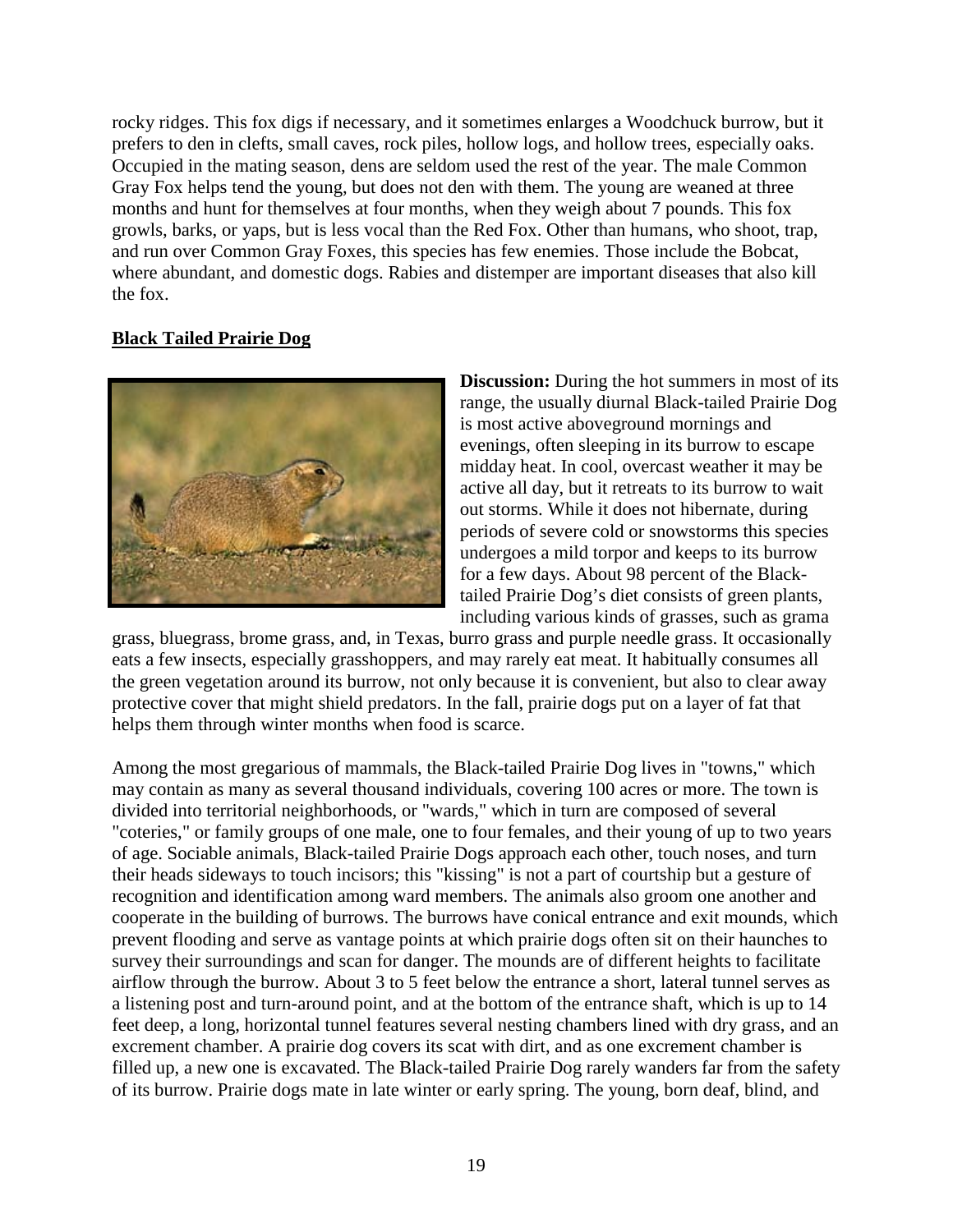rocky ridges. This fox digs if necessary, and it sometimes enlarges a Woodchuck burrow, but it prefers to den in clefts, small caves, rock piles, hollow logs, and hollow trees, especially oaks. Occupied in the mating season, dens are seldom used the rest of the year. The male Common Gray Fox helps tend the young, but does not den with them. The young are weaned at three months and hunt for themselves at four months, when they weigh about 7 pounds. This fox growls, barks, or yaps, but is less vocal than the Red Fox. Other than humans, who shoot, trap, and run over Common Gray Foxes, this species has few enemies. Those include the Bobcat, where abundant, and domestic dogs. Rabies and distemper are important diseases that also kill the fox.

### **Black Tailed Prairie Dog**



**Discussion:** During the hot summers in most of its range, the usually diurnal Black-tailed Prairie Dog is most active aboveground mornings and evenings, often sleeping in its burrow to escape midday heat. In cool, overcast weather it may be active all day, but it retreats to its burrow to wait out storms. While it does not hibernate, during periods of severe cold or snowstorms this species undergoes a mild torpor and keeps to its burrow for a few days. About 98 percent of the Blacktailed Prairie Dog's diet consists of green plants, including various kinds of grasses, such as grama

grass, bluegrass, brome grass, and, in Texas, burro grass and purple needle grass. It occasionally eats a few insects, especially grasshoppers, and may rarely eat meat. It habitually consumes all the green vegetation around its burrow, not only because it is convenient, but also to clear away protective cover that might shield predators. In the fall, prairie dogs put on a layer of fat that helps them through winter months when food is scarce.

Among the most gregarious of mammals, the Black-tailed Prairie Dog lives in "towns," which may contain as many as several thousand individuals, covering 100 acres or more. The town is divided into territorial neighborhoods, or "wards," which in turn are composed of several "coteries," or family groups of one male, one to four females, and their young of up to two years of age. Sociable animals, Black-tailed Prairie Dogs approach each other, touch noses, and turn their heads sideways to touch incisors; this "kissing" is not a part of courtship but a gesture of recognition and identification among ward members. The animals also groom one another and cooperate in the building of burrows. The burrows have conical entrance and exit mounds, which prevent flooding and serve as vantage points at which prairie dogs often sit on their haunches to survey their surroundings and scan for danger. The mounds are of different heights to facilitate airflow through the burrow. About 3 to 5 feet below the entrance a short, lateral tunnel serves as a listening post and turn-around point, and at the bottom of the entrance shaft, which is up to 14 feet deep, a long, horizontal tunnel features several nesting chambers lined with dry grass, and an excrement chamber. A prairie dog covers its scat with dirt, and as one excrement chamber is filled up, a new one is excavated. The Black-tailed Prairie Dog rarely wanders far from the safety of its burrow. Prairie dogs mate in late winter or early spring. The young, born deaf, blind, and